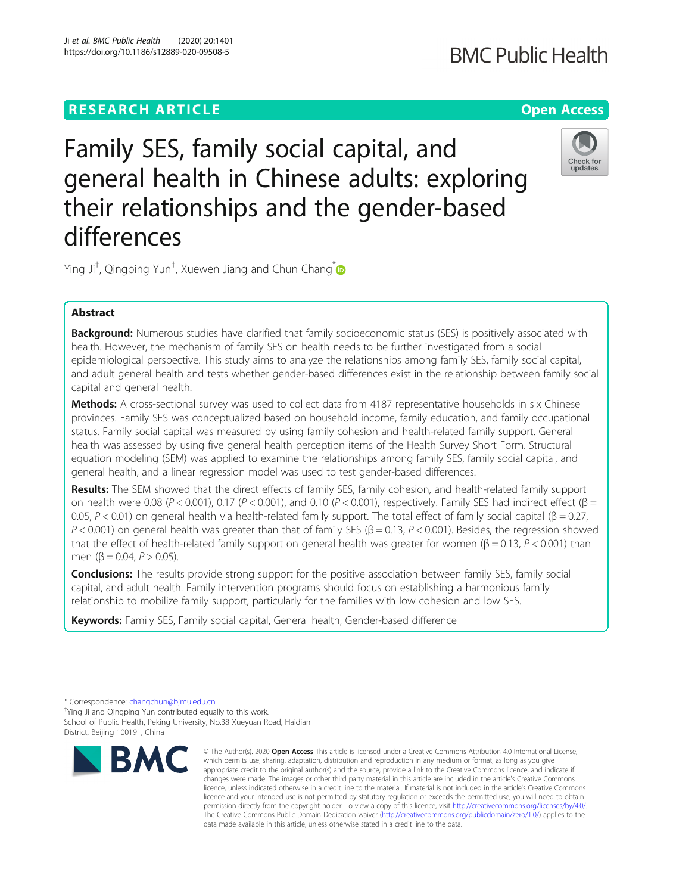# **RESEARCH ARTICLE Example 2014 12:30 The Contract of Contract ACCESS**

# **BMC Public Health**

# Family SES, family social capital, and general health in Chinese adults: exploring their relationships and the gender-based differences



Ying Ji $^\dagger$ , Qingping Yun $^\dagger$ , Xuewen Jiang and Chun Chang $^*$  $^*$ 

# Abstract

Background: Numerous studies have clarified that family socioeconomic status (SES) is positively associated with health. However, the mechanism of family SES on health needs to be further investigated from a social epidemiological perspective. This study aims to analyze the relationships among family SES, family social capital, and adult general health and tests whether gender-based differences exist in the relationship between family social capital and general health.

**Methods:** A cross-sectional survey was used to collect data from 4187 representative households in six Chinese provinces. Family SES was conceptualized based on household income, family education, and family occupational status. Family social capital was measured by using family cohesion and health-related family support. General health was assessed by using five general health perception items of the Health Survey Short Form. Structural equation modeling (SEM) was applied to examine the relationships among family SES, family social capital, and general health, and a linear regression model was used to test gender-based differences.

Results: The SEM showed that the direct effects of family SES, family cohesion, and health-related family support on health were 0.08 ( $P < 0.001$ ), 0.17 ( $P < 0.001$ ), and 0.10 ( $P < 0.001$ ), respectively. Family SES had indirect effect ( $\beta =$ 0.05,  $P < 0.01$ ) on general health via health-related family support. The total effect of family social capital (β = 0.27,  $P$  < 0.001) on general health was greater than that of family SES (β = 0.13, P < 0.001). Besides, the regression showed that the effect of health-related family support on general health was greater for women (β = 0.13,  $P$  < 0.001) than men (β = 0.04,  $P > 0.05$ ).

**Conclusions:** The results provide strong support for the positive association between family SES, family social capital, and adult health. Family intervention programs should focus on establishing a harmonious family relationship to mobilize family support, particularly for the families with low cohesion and low SES.

Keywords: Family SES, Family social capital, General health, Gender-based difference

<sup>+</sup>Ying Ji and Qingping Yun contributed equally to this work. School of Public Health, Peking University, No.38 Xueyuan Road, Haidian District, Beijing 100191, China



<sup>©</sup> The Author(s), 2020 **Open Access** This article is licensed under a Creative Commons Attribution 4.0 International License, which permits use, sharing, adaptation, distribution and reproduction in any medium or format, as long as you give appropriate credit to the original author(s) and the source, provide a link to the Creative Commons licence, and indicate if changes were made. The images or other third party material in this article are included in the article's Creative Commons licence, unless indicated otherwise in a credit line to the material. If material is not included in the article's Creative Commons licence and your intended use is not permitted by statutory regulation or exceeds the permitted use, you will need to obtain permission directly from the copyright holder. To view a copy of this licence, visit [http://creativecommons.org/licenses/by/4.0/.](http://creativecommons.org/licenses/by/4.0/) The Creative Commons Public Domain Dedication waiver [\(http://creativecommons.org/publicdomain/zero/1.0/](http://creativecommons.org/publicdomain/zero/1.0/)) applies to the data made available in this article, unless otherwise stated in a credit line to the data.

<sup>\*</sup> Correspondence: [changchun@bjmu.edu.cn](mailto:changchun@bjmu.edu.cn) †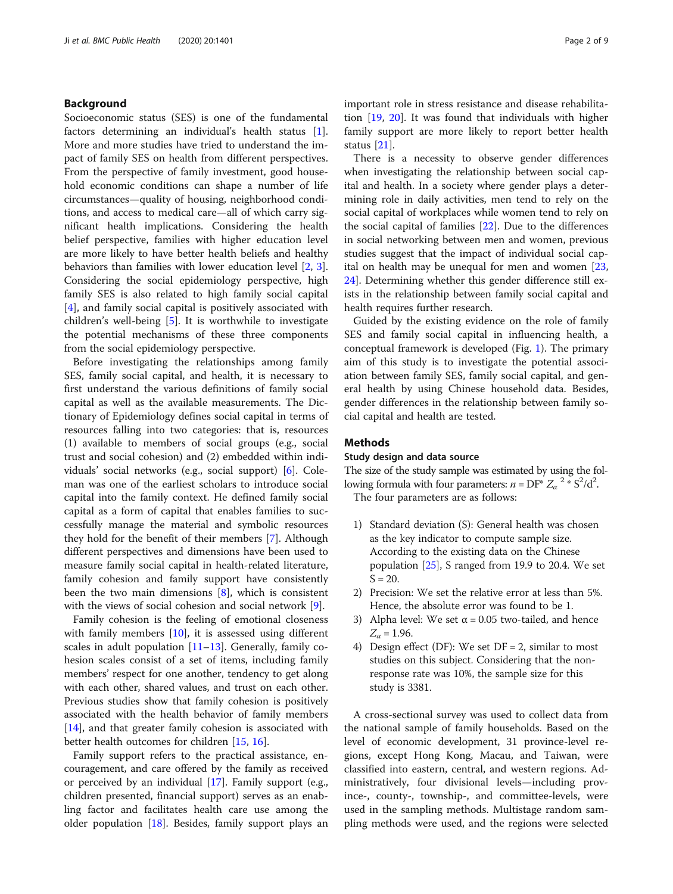### Background

Socioeconomic status (SES) is one of the fundamental factors determining an individual's health status [\[1](#page-7-0)]. More and more studies have tried to understand the impact of family SES on health from different perspectives. From the perspective of family investment, good household economic conditions can shape a number of life circumstances—quality of housing, neighborhood conditions, and access to medical care—all of which carry significant health implications. Considering the health belief perspective, families with higher education level are more likely to have better health beliefs and healthy behaviors than families with lower education level [\[2,](#page-7-0) [3](#page-7-0)]. Considering the social epidemiology perspective, high family SES is also related to high family social capital [[4\]](#page-7-0), and family social capital is positively associated with children's well-being [[5](#page-7-0)]. It is worthwhile to investigate the potential mechanisms of these three components from the social epidemiology perspective.

Before investigating the relationships among family SES, family social capital, and health, it is necessary to first understand the various definitions of family social capital as well as the available measurements. The Dictionary of Epidemiology defines social capital in terms of resources falling into two categories: that is, resources (1) available to members of social groups (e.g., social trust and social cohesion) and (2) embedded within individuals' social networks (e.g., social support) [[6](#page-7-0)]. Coleman was one of the earliest scholars to introduce social capital into the family context. He defined family social capital as a form of capital that enables families to successfully manage the material and symbolic resources they hold for the benefit of their members [[7\]](#page-7-0). Although different perspectives and dimensions have been used to measure family social capital in health-related literature, family cohesion and family support have consistently been the two main dimensions  $[8]$  $[8]$  $[8]$ , which is consistent with the views of social cohesion and social network [\[9](#page-7-0)].

Family cohesion is the feeling of emotional closeness with family members  $[10]$  $[10]$ , it is assessed using different scales in adult population  $[11–13]$  $[11–13]$  $[11–13]$  $[11–13]$  $[11–13]$ . Generally, family cohesion scales consist of a set of items, including family members' respect for one another, tendency to get along with each other, shared values, and trust on each other. Previous studies show that family cohesion is positively associated with the health behavior of family members [[14\]](#page-7-0), and that greater family cohesion is associated with better health outcomes for children [\[15](#page-7-0), [16](#page-7-0)].

Family support refers to the practical assistance, encouragement, and care offered by the family as received or perceived by an individual [\[17](#page-7-0)]. Family support (e.g., children presented, financial support) serves as an enabling factor and facilitates health care use among the older population [[18\]](#page-7-0). Besides, family support plays an important role in stress resistance and disease rehabilitation [\[19](#page-7-0), [20](#page-7-0)]. It was found that individuals with higher family support are more likely to report better health status [\[21](#page-7-0)].

There is a necessity to observe gender differences when investigating the relationship between social capital and health. In a society where gender plays a determining role in daily activities, men tend to rely on the social capital of workplaces while women tend to rely on the social capital of families [\[22](#page-7-0)]. Due to the differences in social networking between men and women, previous studies suggest that the impact of individual social capital on health may be unequal for men and women [[23](#page-7-0), [24\]](#page-7-0). Determining whether this gender difference still exists in the relationship between family social capital and health requires further research.

Guided by the existing evidence on the role of family SES and family social capital in influencing health, a conceptual framework is developed (Fig. [1\)](#page-2-0). The primary aim of this study is to investigate the potential association between family SES, family social capital, and general health by using Chinese household data. Besides, gender differences in the relationship between family social capital and health are tested.

# Methods

### Study design and data source

The size of the study sample was estimated by using the following formula with four parameters:  $n = DF^* Z_\alpha^2 * S^2 / d^2$ .

The four parameters are as follows:

- 1) Standard deviation (S): General health was chosen as the key indicator to compute sample size. According to the existing data on the Chinese population  $[25]$  $[25]$  $[25]$ , S ranged from 19.9 to 20.4. We set  $S = 20.$
- 2) Precision: We set the relative error at less than 5%. Hence, the absolute error was found to be 1.
- 3) Alpha level: We set  $\alpha$  = 0.05 two-tailed, and hence  $Z_{\alpha} = 1.96.$
- 4) Design effect (DF): We set DF = 2, similar to most studies on this subject. Considering that the nonresponse rate was 10%, the sample size for this study is 3381.

A cross-sectional survey was used to collect data from the national sample of family households. Based on the level of economic development, 31 province-level regions, except Hong Kong, Macau, and Taiwan, were classified into eastern, central, and western regions. Administratively, four divisional levels—including province-, county-, township-, and committee-levels, were used in the sampling methods. Multistage random sampling methods were used, and the regions were selected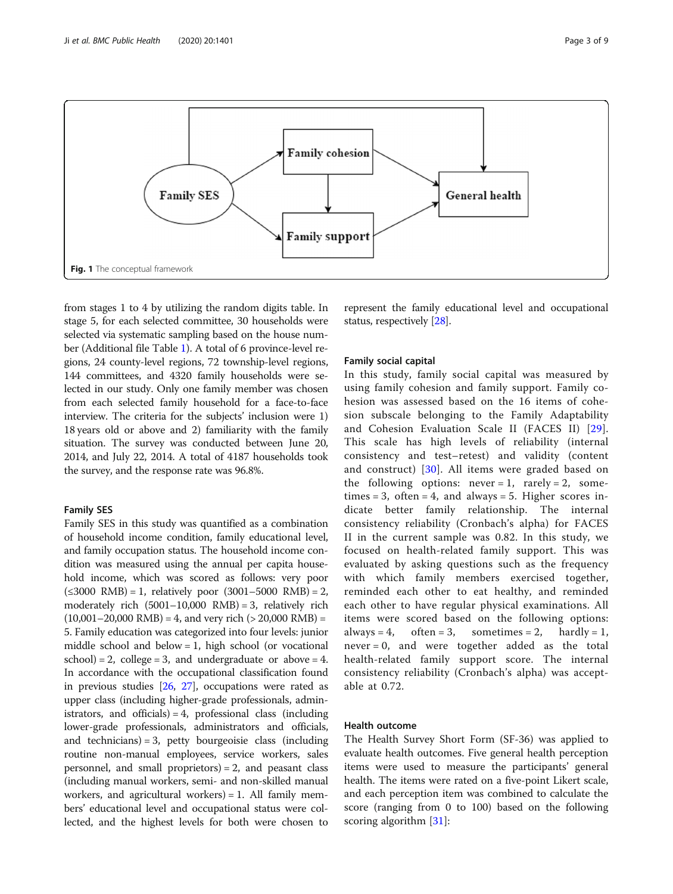<span id="page-2-0"></span>

from stages 1 to 4 by utilizing the random digits table. In stage 5, for each selected committee, 30 households were selected via systematic sampling based on the house number (Additional file Table [1\)](#page-3-0). A total of 6 province-level regions, 24 county-level regions, 72 township-level regions, 144 committees, and 4320 family households were selected in our study. Only one family member was chosen from each selected family household for a face-to-face interview. The criteria for the subjects' inclusion were 1) 18 years old or above and 2) familiarity with the family situation. The survey was conducted between June 20, 2014, and July 22, 2014. A total of 4187 households took the survey, and the response rate was 96.8%.

# Family SES

Family SES in this study was quantified as a combination of household income condition, family educational level, and family occupation status. The household income condition was measured using the annual per capita household income, which was scored as follows: very poor  $(\leq 3000 \text{ RMB}) = 1$ , relatively poor  $(3001 - 5000 \text{ RMB}) = 2$ , moderately rich  $(5001-10,000 \text{ RMB}) = 3$ , relatively rich  $(10,001-20,000$  RMB) = 4, and very rich ( $> 20,000$  RMB) = 5. Family education was categorized into four levels: junior middle school and below = 1, high school (or vocational school) = 2, college = 3, and undergraduate or above = 4. In accordance with the occupational classification found in previous studies [[26,](#page-7-0) [27](#page-7-0)], occupations were rated as upper class (including higher-grade professionals, administrators, and officials) = 4, professional class (including lower-grade professionals, administrators and officials, and technicians) = 3, petty bourgeoisie class (including routine non-manual employees, service workers, sales personnel, and small proprietors $) = 2$ , and peasant class (including manual workers, semi- and non-skilled manual workers, and agricultural workers) = 1. All family members' educational level and occupational status were collected, and the highest levels for both were chosen to represent the family educational level and occupational status, respectively [[28](#page-7-0)].

#### Family social capital

In this study, family social capital was measured by using family cohesion and family support. Family cohesion was assessed based on the 16 items of cohesion subscale belonging to the Family Adaptability and Cohesion Evaluation Scale II (FACES II) [[29](#page-7-0)]. This scale has high levels of reliability (internal consistency and test–retest) and validity (content and construct) [\[30](#page-7-0)]. All items were graded based on the following options: never = 1, rarely = 2, sometimes  $= 3$ , often  $= 4$ , and always  $= 5$ . Higher scores indicate better family relationship. The internal consistency reliability (Cronbach's alpha) for FACES II in the current sample was 0.82. In this study, we focused on health-related family support. This was evaluated by asking questions such as the frequency with which family members exercised together, reminded each other to eat healthy, and reminded each other to have regular physical examinations. All items were scored based on the following options: always = 4, often = 3, sometimes = 2, hardly = 1, never = 0, and were together added as the total health-related family support score. The internal consistency reliability (Cronbach's alpha) was acceptable at 0.72.

#### Health outcome

The Health Survey Short Form (SF-36) was applied to evaluate health outcomes. Five general health perception items were used to measure the participants' general health. The items were rated on a five-point Likert scale, and each perception item was combined to calculate the score (ranging from 0 to 100) based on the following scoring algorithm [\[31\]](#page-7-0):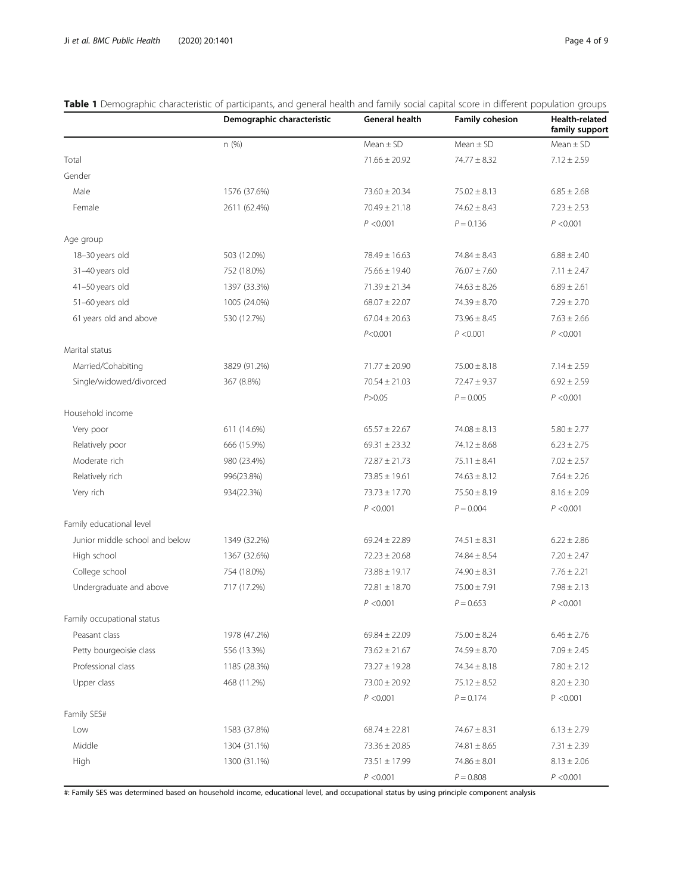|                                | Demographic characteristic | General health    | <b>Family cohesion</b> | Health-related<br>family support |
|--------------------------------|----------------------------|-------------------|------------------------|----------------------------------|
|                                | n (%)                      | $Mean \pm SD$     | $Mean \pm SD$          | $Mean \pm SD$                    |
| Total                          |                            | $71.66 \pm 20.92$ | $74.77 \pm 8.32$       | $7.12 \pm 2.59$                  |
| Gender                         |                            |                   |                        |                                  |
| Male                           | 1576 (37.6%)               | $73.60 \pm 20.34$ | $75.02 \pm 8.13$       | $6.85 \pm 2.68$                  |
| Female                         | 2611 (62.4%)               | $70.49 \pm 21.18$ | $74.62 \pm 8.43$       | $7.23 \pm 2.53$                  |
|                                |                            | P < 0.001         | $P = 0.136$            | P < 0.001                        |
| Age group                      |                            |                   |                        |                                  |
| 18-30 years old                | 503 (12.0%)                | 78.49 ± 16.63     | $74.84 \pm 8.43$       | $6.88 \pm 2.40$                  |
| 31-40 years old                | 752 (18.0%)                | $75.66 \pm 19.40$ | $76.07 \pm 7.60$       | $7.11 \pm 2.47$                  |
| 41-50 years old                | 1397 (33.3%)               | $71.39 \pm 21.34$ | $74.63 \pm 8.26$       | $6.89 \pm 2.61$                  |
| 51-60 years old                | 1005 (24.0%)               | $68.07 \pm 22.07$ | $74.39 \pm 8.70$       | $7.29 \pm 2.70$                  |
| 61 years old and above         | 530 (12.7%)                | $67.04 \pm 20.63$ | $73.96 \pm 8.45$       | $7.63 \pm 2.66$                  |
|                                |                            | P < 0.001         | P < 0.001              | P < 0.001                        |
| Marital status                 |                            |                   |                        |                                  |
| Married/Cohabiting             | 3829 (91.2%)               | $71.77 \pm 20.90$ | $75.00 \pm 8.18$       | $7.14 \pm 2.59$                  |
| Single/widowed/divorced        | 367 (8.8%)                 | $70.54 \pm 21.03$ | $72.47 \pm 9.37$       | $6.92 \pm 2.59$                  |
|                                |                            | P > 0.05          | $P = 0.005$            | P < 0.001                        |
| Household income               |                            |                   |                        |                                  |
| Very poor                      | 611 (14.6%)                | $65.57 \pm 22.67$ | $74.08 \pm 8.13$       | $5.80 \pm 2.77$                  |
| Relatively poor                | 666 (15.9%)                | $69.31 \pm 23.32$ | $74.12 \pm 8.68$       | $6.23 \pm 2.75$                  |
| Moderate rich                  | 980 (23.4%)                | $72.87 \pm 21.73$ | $75.11 \pm 8.41$       | $7.02 \pm 2.57$                  |
| Relatively rich                | 996(23.8%)                 | $73.85 \pm 19.61$ | $74.63 \pm 8.12$       | $7.64 \pm 2.26$                  |
| Very rich                      | 934(22.3%)                 | $73.73 \pm 17.70$ | $75.50 \pm 8.19$       | $8.16 \pm 2.09$                  |
|                                |                            | P < 0.001         | $P = 0.004$            | P < 0.001                        |
| Family educational level       |                            |                   |                        |                                  |
| Junior middle school and below | 1349 (32.2%)               | $69.24 \pm 22.89$ | $74.51 \pm 8.31$       | $6.22 \pm 2.86$                  |
| High school                    | 1367 (32.6%)               | $72.23 \pm 20.68$ | $74.84 \pm 8.54$       | $7.20 \pm 2.47$                  |
| College school                 | 754 (18.0%)                | $73.88 \pm 19.17$ | $74.90 \pm 8.31$       | $7.76 \pm 2.21$                  |
| Undergraduate and above        | 717 (17.2%)                | $72.81 \pm 18.70$ | $75.00 \pm 7.91$       | $7.98 \pm 2.13$                  |
|                                |                            | P < 0.001         | $P = 0.653$            | P < 0.001                        |
| Family occupational status     |                            |                   |                        |                                  |
| Peasant class                  | 1978 (47.2%)               | $69.84 \pm 22.09$ | $75.00 \pm 8.24$       | $6.46 \pm 2.76$                  |
| Petty bourgeoisie class        | 556 (13.3%)                | $73.62 \pm 21.67$ | $74.59 \pm 8.70$       | $7.09 \pm 2.45$                  |
| Professional class             | 1185 (28.3%)               | 73.27 ± 19.28     | $74.34 \pm 8.18$       | $7.80 \pm 2.12$                  |
| Upper class                    | 468 (11.2%)                | $73.00 \pm 20.92$ | $75.12 \pm 8.52$       | $8.20 \pm 2.30$                  |
|                                |                            | P < 0.001         | $P = 0.174$            | P < 0.001                        |
| Family SES#                    |                            |                   |                        |                                  |
| Low                            | 1583 (37.8%)               | $68.74 \pm 22.81$ | $74.67 \pm 8.31$       | $6.13 \pm 2.79$                  |
| Middle                         | 1304 (31.1%)               | $73.36 \pm 20.85$ | $74.81 \pm 8.65$       | $7.31 \pm 2.39$                  |
| High                           | 1300 (31.1%)               | $73.51 \pm 17.99$ | $74.86 \pm 8.01$       | $8.13 \pm 2.06$                  |
|                                |                            | P < 0.001         | $P = 0.808$            | P < 0.001                        |

# <span id="page-3-0"></span>Table 1 Demographic characteristic of participants, and general health and family social capital score in different population groups

#: Family SES was determined based on household income, educational level, and occupational status by using principle component analysis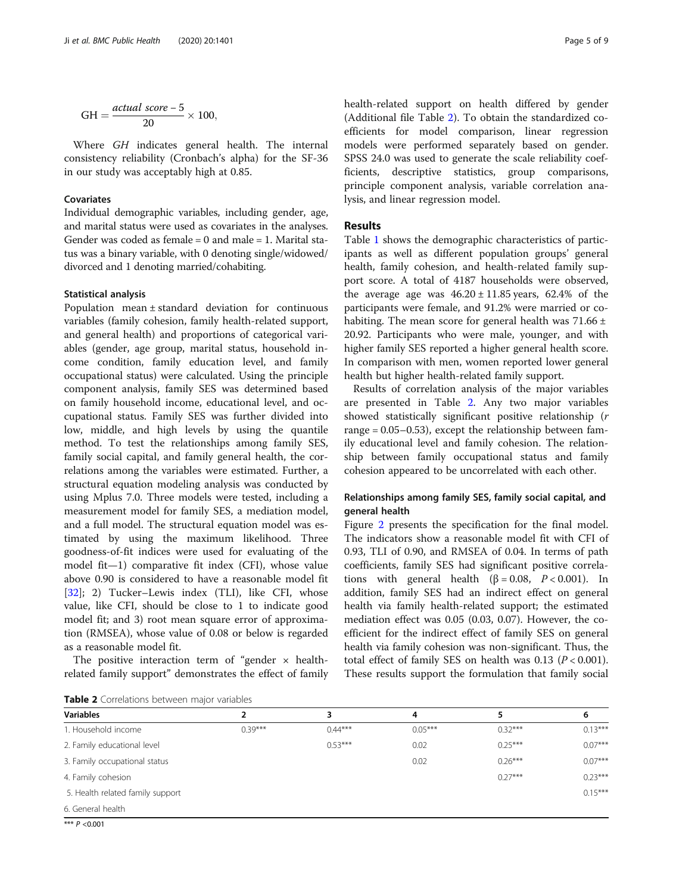$$
GH = \frac{actual\ score - 5}{20} \times 100,
$$

Where GH indicates general health. The internal consistency reliability (Cronbach's alpha) for the SF-36 in our study was acceptably high at 0.85.

#### Covariates

Individual demographic variables, including gender, age, and marital status were used as covariates in the analyses. Gender was coded as female = 0 and male = 1. Marital status was a binary variable, with 0 denoting single/widowed/ divorced and 1 denoting married/cohabiting.

#### Statistical analysis

Population mean ± standard deviation for continuous variables (family cohesion, family health-related support, and general health) and proportions of categorical variables (gender, age group, marital status, household income condition, family education level, and family occupational status) were calculated. Using the principle component analysis, family SES was determined based on family household income, educational level, and occupational status. Family SES was further divided into low, middle, and high levels by using the quantile method. To test the relationships among family SES, family social capital, and family general health, the correlations among the variables were estimated. Further, a structural equation modeling analysis was conducted by using Mplus 7.0. Three models were tested, including a measurement model for family SES, a mediation model, and a full model. The structural equation model was estimated by using the maximum likelihood. Three goodness-of-fit indices were used for evaluating of the model fit—1) comparative fit index (CFI), whose value above 0.90 is considered to have a reasonable model fit [[32\]](#page-8-0); 2) Tucker–Lewis index (TLI), like CFI, whose value, like CFI, should be close to 1 to indicate good model fit; and 3) root mean square error of approximation (RMSEA), whose value of 0.08 or below is regarded as a reasonable model fit.

The positive interaction term of "gender  $\times$  healthrelated family support" demonstrates the effect of family

| Table 2 Correlations between major variables |  |  |
|----------------------------------------------|--|--|
|                                              |  |  |

health-related support on health differed by gender (Additional file Table 2). To obtain the standardized coefficients for model comparison, linear regression models were performed separately based on gender. SPSS 24.0 was used to generate the scale reliability coefficients, descriptive statistics, group comparisons, principle component analysis, variable correlation analysis, and linear regression model.

#### Results

Table [1](#page-3-0) shows the demographic characteristics of participants as well as different population groups' general health, family cohesion, and health-related family support score. A total of 4187 households were observed, the average age was  $46.20 \pm 11.85$  years, 62.4% of the participants were female, and 91.2% were married or cohabiting. The mean score for general health was 71.66 ± 20.92. Participants who were male, younger, and with higher family SES reported a higher general health score. In comparison with men, women reported lower general health but higher health-related family support.

Results of correlation analysis of the major variables are presented in Table 2. Any two major variables showed statistically significant positive relationship (r range = 0.05–0.53), except the relationship between family educational level and family cohesion. The relationship between family occupational status and family cohesion appeared to be uncorrelated with each other.

# Relationships among family SES, family social capital, and general health

Figure [2](#page-5-0) presents the specification for the final model. The indicators show a reasonable model fit with CFI of 0.93, TLI of 0.90, and RMSEA of 0.04. In terms of path coefficients, family SES had significant positive correlations with general health ( $\beta = 0.08$ ,  $P < 0.001$ ). In addition, family SES had an indirect effect on general health via family health-related support; the estimated mediation effect was 0.05 (0.03, 0.07). However, the coefficient for the indirect effect of family SES on general health via family cohesion was non-significant. Thus, the total effect of family SES on health was 0.13 ( $P < 0.001$ ). These results support the formulation that family social

| <b>Variables</b>                 |           |           | 4         | 5         | 6         |
|----------------------------------|-----------|-----------|-----------|-----------|-----------|
| 1. Household income              | $0.39***$ | $0.44***$ | $0.05***$ | $0.32***$ | $0.13***$ |
| 2. Family educational level      |           | $0.53***$ | 0.02      | $0.25***$ | $0.07***$ |
| 3. Family occupational status    |           |           | 0.02      | $0.26***$ | $0.07***$ |
| 4. Family cohesion               |           |           |           | $0.27***$ | $0.23***$ |
| 5. Health related family support |           |           |           |           | $0.15***$ |
| 6. General health                |           |           |           |           |           |
| *** $P < 0.001$                  |           |           |           |           |           |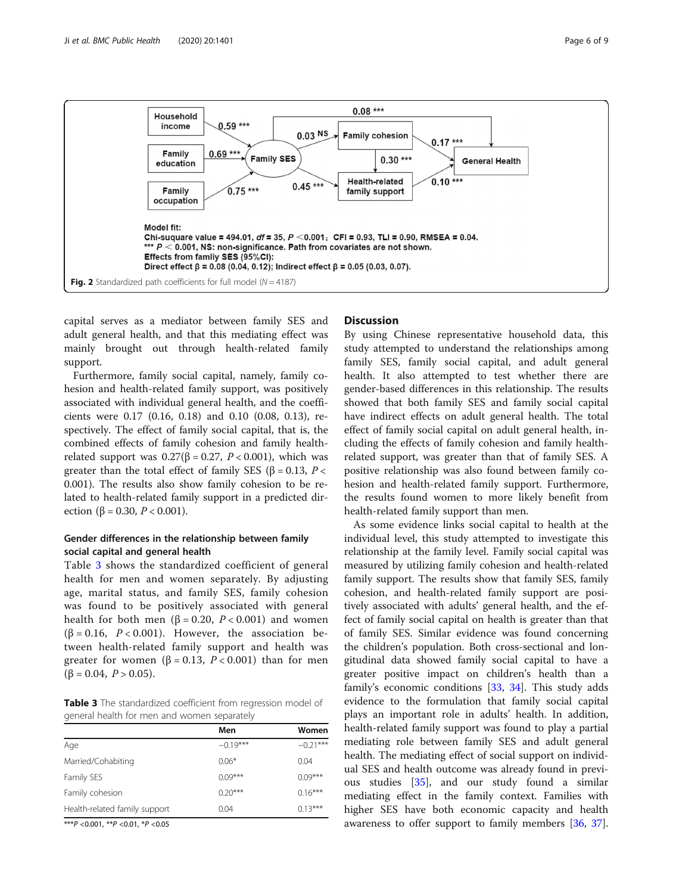<span id="page-5-0"></span>

capital serves as a mediator between family SES and adult general health, and that this mediating effect was mainly brought out through health-related family support.

Furthermore, family social capital, namely, family cohesion and health-related family support, was positively associated with individual general health, and the coefficients were 0.17 (0.16, 0.18) and 0.10 (0.08, 0.13), respectively. The effect of family social capital, that is, the combined effects of family cohesion and family healthrelated support was  $0.27(β = 0.27, P < 0.001)$ , which was greater than the total effect of family SES ( $\beta$  = 0.13, P < 0.001). The results also show family cohesion to be related to health-related family support in a predicted direction (β = 0.30,  $P < 0.001$ ).

# Gender differences in the relationship between family social capital and general health

Table 3 shows the standardized coefficient of general health for men and women separately. By adjusting age, marital status, and family SES, family cohesion was found to be positively associated with general health for both men (β = 0.20,  $P < 0.001$ ) and women  $(\beta = 0.16, P < 0.001)$ . However, the association between health-related family support and health was greater for women ( $\beta$  = 0.13, P < 0.001) than for men  $(\beta = 0.04, P > 0.05).$ 

Table 3 The standardized coefficient from regression model of general health for men and women separately

|                               | Men        | Women      |
|-------------------------------|------------|------------|
| Age                           | $-0.19***$ | $-0.21***$ |
| Married/Cohabiting            | $0.06*$    | 0.04       |
| Family SES                    | $0.09***$  | $0.09***$  |
| Family cohesion               | $0.20***$  | $0.16***$  |
| Health-related family support | 0.04       | $0.13***$  |

\*\*\*P <0.001, \*\*P <0.01, \*P <0.05

# **Discussion**

By using Chinese representative household data, this study attempted to understand the relationships among family SES, family social capital, and adult general health. It also attempted to test whether there are gender-based differences in this relationship. The results showed that both family SES and family social capital have indirect effects on adult general health. The total effect of family social capital on adult general health, including the effects of family cohesion and family healthrelated support, was greater than that of family SES. A positive relationship was also found between family cohesion and health-related family support. Furthermore, the results found women to more likely benefit from health-related family support than men.

As some evidence links social capital to health at the individual level, this study attempted to investigate this relationship at the family level. Family social capital was measured by utilizing family cohesion and health-related family support. The results show that family SES, family cohesion, and health-related family support are positively associated with adults' general health, and the effect of family social capital on health is greater than that of family SES. Similar evidence was found concerning the children's population. Both cross-sectional and longitudinal data showed family social capital to have a greater positive impact on children's health than a family's economic conditions [[33](#page-8-0), [34\]](#page-8-0). This study adds evidence to the formulation that family social capital plays an important role in adults' health. In addition, health-related family support was found to play a partial mediating role between family SES and adult general health. The mediating effect of social support on individual SES and health outcome was already found in previous studies [[35\]](#page-8-0), and our study found a similar mediating effect in the family context. Families with higher SES have both economic capacity and health awareness to offer support to family members [\[36](#page-8-0), [37](#page-8-0)].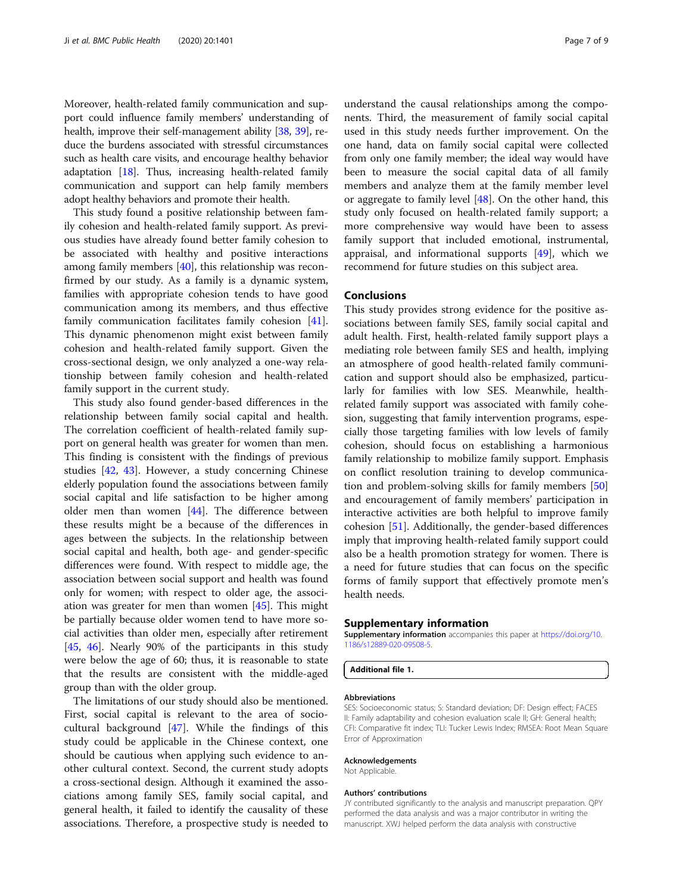Moreover, health-related family communication and support could influence family members' understanding of health, improve their self-management ability [\[38,](#page-8-0) [39\]](#page-8-0), reduce the burdens associated with stressful circumstances such as health care visits, and encourage healthy behavior adaptation  $[18]$ . Thus, increasing health-related family communication and support can help family members adopt healthy behaviors and promote their health.

This study found a positive relationship between family cohesion and health-related family support. As previous studies have already found better family cohesion to be associated with healthy and positive interactions among family members [\[40\]](#page-8-0), this relationship was reconfirmed by our study. As a family is a dynamic system, families with appropriate cohesion tends to have good communication among its members, and thus effective family communication facilitates family cohesion [\[41](#page-8-0)]. This dynamic phenomenon might exist between family cohesion and health-related family support. Given the cross-sectional design, we only analyzed a one-way relationship between family cohesion and health-related family support in the current study.

This study also found gender-based differences in the relationship between family social capital and health. The correlation coefficient of health-related family support on general health was greater for women than men. This finding is consistent with the findings of previous studies [[42,](#page-8-0) [43](#page-8-0)]. However, a study concerning Chinese elderly population found the associations between family social capital and life satisfaction to be higher among older men than women [[44\]](#page-8-0). The difference between these results might be a because of the differences in ages between the subjects. In the relationship between social capital and health, both age- and gender-specific differences were found. With respect to middle age, the association between social support and health was found only for women; with respect to older age, the association was greater for men than women [\[45](#page-8-0)]. This might be partially because older women tend to have more social activities than older men, especially after retirement [[45,](#page-8-0) [46\]](#page-8-0). Nearly 90% of the participants in this study were below the age of 60; thus, it is reasonable to state that the results are consistent with the middle-aged group than with the older group.

The limitations of our study should also be mentioned. First, social capital is relevant to the area of sociocultural background [[47\]](#page-8-0). While the findings of this study could be applicable in the Chinese context, one should be cautious when applying such evidence to another cultural context. Second, the current study adopts a cross-sectional design. Although it examined the associations among family SES, family social capital, and general health, it failed to identify the causality of these associations. Therefore, a prospective study is needed to

understand the causal relationships among the components. Third, the measurement of family social capital used in this study needs further improvement. On the one hand, data on family social capital were collected from only one family member; the ideal way would have been to measure the social capital data of all family members and analyze them at the family member level or aggregate to family level [[48\]](#page-8-0). On the other hand, this study only focused on health-related family support; a more comprehensive way would have been to assess family support that included emotional, instrumental, appraisal, and informational supports  $[49]$  $[49]$ , which we recommend for future studies on this subject area.

# Conclusions

This study provides strong evidence for the positive associations between family SES, family social capital and adult health. First, health-related family support plays a mediating role between family SES and health, implying an atmosphere of good health-related family communication and support should also be emphasized, particularly for families with low SES. Meanwhile, healthrelated family support was associated with family cohesion, suggesting that family intervention programs, especially those targeting families with low levels of family cohesion, should focus on establishing a harmonious family relationship to mobilize family support. Emphasis on conflict resolution training to develop communication and problem-solving skills for family members [[50](#page-8-0)] and encouragement of family members' participation in interactive activities are both helpful to improve family cohesion [\[51\]](#page-8-0). Additionally, the gender-based differences imply that improving health-related family support could also be a health promotion strategy for women. There is a need for future studies that can focus on the specific forms of family support that effectively promote men's health needs.

#### Supplementary information

Supplementary information accompanies this paper at [https://doi.org/10.](https://doi.org/10.1186/s12889-020-09508-5) [1186/s12889-020-09508-5](https://doi.org/10.1186/s12889-020-09508-5).

Additional file 1.

#### Abbreviations

SES: Socioeconomic status; S: Standard deviation; DF: Design effect; FACES II: Family adaptability and cohesion evaluation scale II; GH: General health; CFI: Comparative fit index; TLI: Tucker Lewis Index; RMSEA: Root Mean Square Error of Approximation

#### Acknowledgements

Not Applicable.

#### Authors' contributions

JY contributed significantly to the analysis and manuscript preparation. QPY performed the data analysis and was a major contributor in writing the manuscript. XWJ helped perform the data analysis with constructive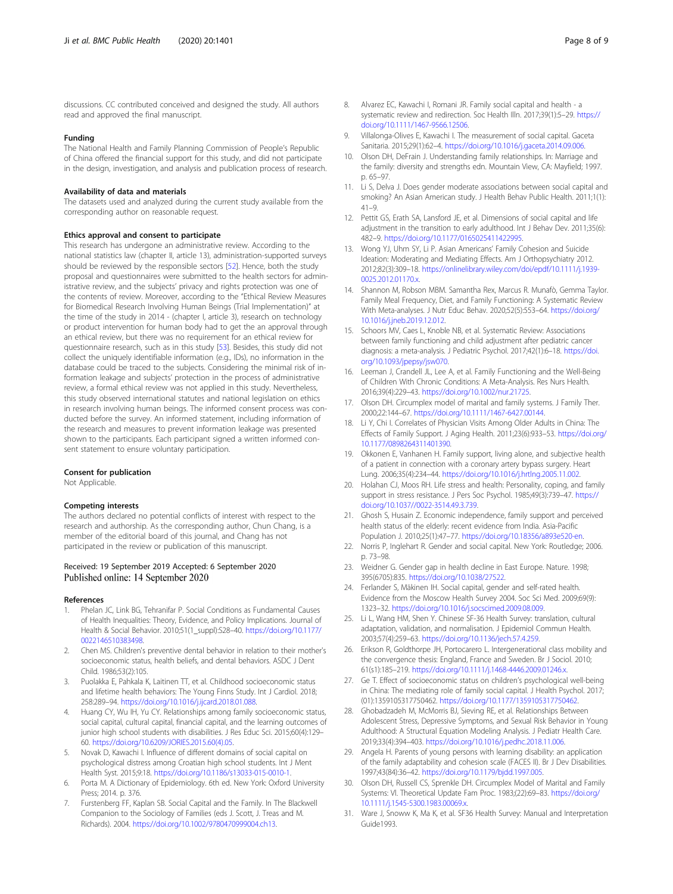<span id="page-7-0"></span>discussions. CC contributed conceived and designed the study. All authors read and approved the final manuscript.

#### Funding

The National Health and Family Planning Commission of People's Republic of China offered the financial support for this study, and did not participate in the design, investigation, and analysis and publication process of research.

#### Availability of data and materials

The datasets used and analyzed during the current study available from the corresponding author on reasonable request.

#### Ethics approval and consent to participate

This research has undergone an administrative review. According to the national statistics law (chapter II, article 13), administration-supported surveys should be reviewed by the responsible sectors [[52\]](#page-8-0). Hence, both the study proposal and questionnaires were submitted to the health sectors for administrative review, and the subjects' privacy and rights protection was one of the contents of review. Moreover, according to the "Ethical Review Measures for Biomedical Research Involving Human Beings (Trial Implementation)" at the time of the study in 2014 - (chapter I, article 3), research on technology or product intervention for human body had to get the an approval through an ethical review, but there was no requirement for an ethical review for questionnaire research, such as in this study [[53\]](#page-8-0). Besides, this study did not collect the uniquely identifiable information (e.g., IDs), no information in the database could be traced to the subjects. Considering the minimal risk of information leakage and subjects' protection in the process of administrative review, a formal ethical review was not applied in this study. Nevertheless, this study observed international statutes and national legislation on ethics in research involving human beings. The informed consent process was conducted before the survey. An informed statement, including information of the research and measures to prevent information leakage was presented shown to the participants. Each participant signed a written informed consent statement to ensure voluntary participation.

#### Consent for publication

Not Applicable.

#### Competing interests

The authors declared no potential conflicts of interest with respect to the research and authorship. As the corresponding author, Chun Chang, is a member of the editorial board of this journal, and Chang has not participated in the review or publication of this manuscript.

#### Received: 19 September 2019 Accepted: 6 September 2020 Published online: 14 September 2020

#### References

- 1. Phelan JC, Link BG, Tehranifar P. Social Conditions as Fundamental Causes of Health Inequalities: Theory, Evidence, and Policy Implications. Journal of Health & Social Behavior. 2010;51(1\_suppl):S28–40. [https://doi.org/10.1177/](https://doi.org/10.1177/0022146510383498) [0022146510383498](https://doi.org/10.1177/0022146510383498).
- 2. Chen MS. Children's preventive dental behavior in relation to their mother's socioeconomic status, health beliefs, and dental behaviors. ASDC J Dent Child. 1986;53(2):105.
- 3. Puolakka E, Pahkala K, Laitinen TT, et al. Childhood socioeconomic status and lifetime health behaviors: The Young Finns Study. Int J Cardiol. 2018; 258:289–94. <https://doi.org/10.1016/j.ijcard.2018.01.088>.
- Huang CY, Wu IH, Yu CY. Relationships among family socioeconomic status, social capital, cultural capital, financial capital, and the learning outcomes of junior high school students with disabilities. J Res Educ Sci. 2015;60(4):129– 60. [https://doi.org/10.6209/JORIES.2015.60\(4\).05.](https://doi.org/10.6209/JORIES.2015.60(4).05)
- 5. Novak D, Kawachi I. Influence of different domains of social capital on psychological distress among Croatian high school students. Int J Ment Health Syst. 2015;9:18. [https://doi.org/10.1186/s13033-015-0010-1.](https://doi.org/10.1186/s13033-015-0010-1)
- Porta M. A Dictionary of Epidemiology. 6th ed. New York: Oxford University Press; 2014. p. 376.
- 7. Furstenberg FF, Kaplan SB. Social Capital and the Family. In The Blackwell Companion to the Sociology of Families (eds J. Scott, J. Treas and M. Richards). 2004. <https://doi.org/10.1002/9780470999004.ch13>.
- 8. Alvarez EC, Kawachi I, Romani JR. Family social capital and health a systematic review and redirection. Soc Health Illn. 2017;39(1):5–29. [https://](https://doi.org/10.1111/1467-9566.12506) [doi.org/10.1111/1467-9566.12506.](https://doi.org/10.1111/1467-9566.12506)
- 9. Villalonga-Olives E, Kawachi I. The measurement of social capital. Gaceta Sanitaria. 2015;29(1):62–4. <https://doi.org/10.1016/j.gaceta.2014.09.006>.
- 10. Olson DH, DeFrain J. Understanding family relationships. In: Marriage and the family: diversity and strengths edn. Mountain View, CA: Mayfield; 1997. p. 65–97.
- 11. Li S, Delva J. Does gender moderate associations between social capital and smoking? An Asian American study. J Health Behav Public Health. 2011;1(1):  $41-9$
- 12. Pettit GS, Erath SA, Lansford JE, et al. Dimensions of social capital and life adjustment in the transition to early adulthood. Int J Behav Dev. 2011;35(6): 482–9. <https://doi.org/10.1177/0165025411422995>.
- 13. Wong YJ, Uhm SY, Li P. Asian Americans' Family Cohesion and Suicide Ideation: Moderating and Mediating Effects. Am J Orthopsychiatry 2012. 2012;82(3):309–18. [https://onlinelibrary.wiley.com/doi/epdf/10.1111/j.1939-](https://onlinelibrary.wiley.com/doi/epdf/10.1111/j.1939-0025.2012.01170.x) [0025.2012.01170.x.](https://onlinelibrary.wiley.com/doi/epdf/10.1111/j.1939-0025.2012.01170.x)
- 14. Shannon M, Robson MBM. Samantha Rex, Marcus R. Munafò, Gemma Taylor. Family Meal Frequency, Diet, and Family Functioning: A Systematic Review With Meta-analyses. J Nutr Educ Behav. 2020;52(5):553–64. [https://doi.org/](https://doi.org/10.1016/j.jneb.2019.12.012) [10.1016/j.jneb.2019.12.012](https://doi.org/10.1016/j.jneb.2019.12.012).
- 15. Schoors MV, Caes L, Knoble NB, et al. Systematic Review: Associations between family functioning and child adjustment after pediatric cancer diagnosis: a meta-analysis. J Pediatric Psychol. 2017;42(1):6–18. [https://doi.](https://doi.org/10.1093/jpepsy/jsw070) [org/10.1093/jpepsy/jsw070](https://doi.org/10.1093/jpepsy/jsw070).
- 16. Leeman J, Crandell JL, Lee A, et al. Family Functioning and the Well-Being of Children With Chronic Conditions: A Meta-Analysis. Res Nurs Health. 2016;39(4):229–43. [https://doi.org/10.1002/nur.21725.](https://doi.org/10.1002/nur.21725)
- 17. Olson DH. Circumplex model of marital and family systems. J Family Ther. 2000;22:144–67. <https://doi.org/10.1111/1467-6427.00144>.
- 18. Li Y, Chi I. Correlates of Physician Visits Among Older Adults in China: The Effects of Family Support. J Aging Health. 2011;23(6):933–53. [https://doi.org/](https://doi.org/10.1177/0898264311401390) [10.1177/0898264311401390](https://doi.org/10.1177/0898264311401390).
- 19. Okkonen E, Vanhanen H. Family support, living alone, and subjective health of a patient in connection with a coronary artery bypass surgery. Heart Lung. 2006;35(4):234–44. [https://doi.org/10.1016/j.hrtlng.2005.11.002.](https://doi.org/10.1016/j.hrtlng.2005.11.002)
- 20. Holahan CJ, Moos RH. Life stress and health: Personality, coping, and family support in stress resistance. J Pers Soc Psychol. 1985;49(3):739–47. [https://](https://doi.org/10.1037//0022-3514.49.3.739) [doi.org/10.1037//0022-3514.49.3.739](https://doi.org/10.1037//0022-3514.49.3.739).
- 21. Ghosh S, Husain Z. Economic independence, family support and perceived health status of the elderly: recent evidence from India. Asia-Pacific Population J. 2010;25(1):47–77. [https://doi.org/10.18356/a893e520-en.](https://doi.org/10.18356/a893e520-en)
- 22. Norris P, Inglehart R. Gender and social capital. New York: Routledge; 2006. p. 73–98.
- 23. Weidner G. Gender gap in health decline in East Europe. Nature. 1998; 395(6705):835. <https://doi.org/10.1038/27522>.
- 24. Ferlander S, Mäkinen IH. Social capital, gender and self-rated health. Evidence from the Moscow Health Survey 2004. Soc Sci Med. 2009;69(9): 1323–32. [https://doi.org/10.1016/j.socscimed.2009.08.009.](https://doi.org/10.1016/j.socscimed.2009.08.009)
- 25. Li L, Wang HM, Shen Y. Chinese SF-36 Health Survey: translation, cultural adaptation, validation, and normalisation. J Epidemiol Commun Health. 2003;57(4):259–63. [https://doi.org/10.1136/jech.57.4.259.](https://doi.org/10.1136/jech.57.4.259)
- 26. Erikson R, Goldthorpe JH, Portocarero L. Intergenerational class mobility and the convergence thesis: England, France and Sweden. Br J Sociol. 2010; 61(s1):185–219. <https://doi.org/10.1111/j.1468-4446.2009.01246.x>.
- 27. Ge T. Effect of socioeconomic status on children's psychological well-being in China: The mediating role of family social capital. J Health Psychol. 2017; (01):1359105317750462. <https://doi.org/10.1177/1359105317750462>.
- 28. Ghobadzadeh M, McMorris BJ, Sieving RE, et al. Relationships Between Adolescent Stress, Depressive Symptoms, and Sexual Risk Behavior in Young Adulthood: A Structural Equation Modeling Analysis. J Pediatr Health Care. 2019;33(4):394–403. <https://doi.org/10.1016/j.pedhc.2018.11.006>.
- 29. Angela H. Parents of young persons with learning disability: an application of the family adaptability and cohesion scale (FACES II). Br J Dev Disabilities. 1997;43(84):36–42. <https://doi.org/10.1179/bjdd.1997.005>.
- 30. Olson DH, Russell CS, Sprenkle DH. Circumplex Model of Marital and Family Systems: Vl. Theoretical Update Fam Proc. 1983;(22):69–83. [https://doi.org/](https://doi.org/10.1111/j.1545-5300.1983.00069.x) [10.1111/j.1545-5300.1983.00069.x](https://doi.org/10.1111/j.1545-5300.1983.00069.x).
- 31. Ware J, Snoww K, Ma K, et al. SF36 Health Survey: Manual and Interpretation Guide1993.